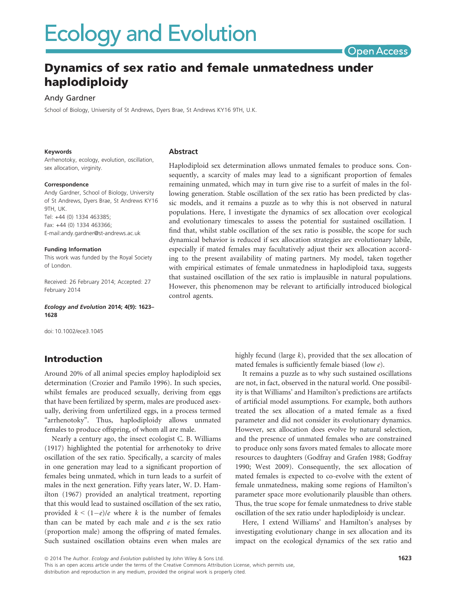# **Ecology and Evolution**

**Open Access** 

## Dynamics of sex ratio and female unmatedness under haplodiploidy

## Andy Gardner

School of Biology, University of St Andrews, Dyers Brae, St Andrews KY16 9TH, U.K.

#### Keywords

Arrhenotoky, ecology, evolution, oscillation, sex allocation, virginity.

#### Correspondence

Andy Gardner, School of Biology, University of St Andrews, Dyers Brae, St Andrews KY16 9TH IIK Tel: +44 (0) 1334 463385; Fax: +44 (0) 1334 463366; E-mail:andy.gardner@st-andrews.ac.uk

#### Funding Information

This work was funded by the Royal Society of London.

Received: 26 February 2014; Accepted: 27 February 2014

Ecology and Evolution 2014; 4(9): 1623– 1628

doi: 10.1002/ece3.1045

## Introduction

Around 20% of all animal species employ haplodiploid sex determination (Crozier and Pamilo 1996). In such species, whilst females are produced sexually, deriving from eggs that have been fertilized by sperm, males are produced asexually, deriving from unfertilized eggs, in a process termed "arrhenotoky". Thus, haplodiploidy allows unmated females to produce offspring, of whom all are male.

Nearly a century ago, the insect ecologist C. B. Williams (1917) highlighted the potential for arrhenotoky to drive oscillation of the sex ratio. Specifically, a scarcity of males in one generation may lead to a significant proportion of females being unmated, which in turn leads to a surfeit of males in the next generation. Fifty years later, W. D. Hamilton (1967) provided an analytical treatment, reporting that this would lead to sustained oscillation of the sex ratio, provided  $k < (1-e)/e$  where k is the number of females than can be mated by each male and  $e$  is the sex ratio (proportion male) among the offspring of mated females. Such sustained oscillation obtains even when males are

#### Abstract

Haplodiploid sex determination allows unmated females to produce sons. Consequently, a scarcity of males may lead to a significant proportion of females remaining unmated, which may in turn give rise to a surfeit of males in the following generation. Stable oscillation of the sex ratio has been predicted by classic models, and it remains a puzzle as to why this is not observed in natural populations. Here, I investigate the dynamics of sex allocation over ecological and evolutionary timescales to assess the potential for sustained oscillation. I find that, whilst stable oscillation of the sex ratio is possible, the scope for such dynamical behavior is reduced if sex allocation strategies are evolutionary labile, especially if mated females may facultatively adjust their sex allocation according to the present availability of mating partners. My model, taken together with empirical estimates of female unmatedness in haplodiploid taxa, suggests that sustained oscillation of the sex ratio is implausible in natural populations. However, this phenomenon may be relevant to artificially introduced biological control agents.

> highly fecund (large k), provided that the sex allocation of mated females is sufficiently female biased (low e).

> It remains a puzzle as to why such sustained oscillations are not, in fact, observed in the natural world. One possibility is that Williams' and Hamilton's predictions are artifacts of artificial model assumptions. For example, both authors treated the sex allocation of a mated female as a fixed parameter and did not consider its evolutionary dynamics. However, sex allocation does evolve by natural selection, and the presence of unmated females who are constrained to produce only sons favors mated females to allocate more resources to daughters (Godfray and Grafen 1988; Godfray 1990; West 2009). Consequently, the sex allocation of mated females is expected to co-evolve with the extent of female unmatedness, making some regions of Hamilton's parameter space more evolutionarily plausible than others. Thus, the true scope for female unmatedness to drive stable oscillation of the sex ratio under haplodiploidy is unclear.

> Here, I extend Williams' and Hamilton's analyses by investigating evolutionary change in sex allocation and its impact on the ecological dynamics of the sex ratio and

ª 2014 The Author. Ecology and Evolution published by John Wiley & Sons Ltd.

This is an open access article under the terms of the Creative Commons Attribution License, which permits use, distribution and reproduction in any medium, provided the original work is properly cited.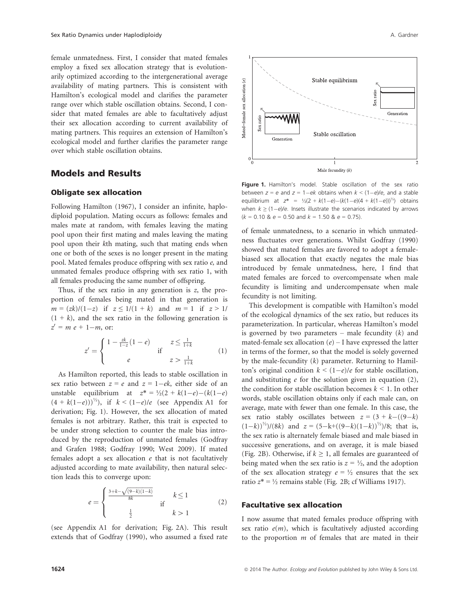female unmatedness. First, I consider that mated females employ a fixed sex allocation strategy that is evolutionarily optimized according to the intergenerational average availability of mating partners. This is consistent with Hamilton's ecological model and clarifies the parameter range over which stable oscillation obtains. Second, I consider that mated females are able to facultatively adjust their sex allocation according to current availability of mating partners. This requires an extension of Hamilton's ecological model and further clarifies the parameter range over which stable oscillation obtains.

Mated-female sex allocation (e)

atio

Generation

## Models and Results

#### Obligate sex allocation

Following Hamilton (1967), I consider an infinite, haplodiploid population. Mating occurs as follows: females and males mate at random, with females leaving the mating pool upon their first mating and males leaving the mating pool upon their kth mating, such that mating ends when one or both of the sexes is no longer present in the mating pool. Mated females produce offspring with sex ratio e, and unmated females produce offspring with sex ratio 1, with all females producing the same number of offspring.

Thus, if the sex ratio in any generation is  $z$ , the proportion of females being mated in that generation is  $m = (zk)/(1-z)$  if  $z \le 1/(1+k)$  and  $m = 1$  if  $z > 1/$  $(1 + k)$ , and the sex ratio in the following generation is  $z' = m e + 1-m$ , or:

$$
z' = \begin{cases} 1 - \frac{zk}{1 - z}(1 - e) & z \le \frac{1}{1 + k} \\ e & z > \frac{1}{1 + k} \end{cases} \tag{1}
$$

As Hamilton reported, this leads to stable oscillation in sex ratio between  $z = e$  and  $z = 1 - ek$ , either side of an unstable equilibrium at  $z^* = \frac{1}{2}(2 + k(1-e) - (k(1-e))$  $(4 + k(1-e)))^{1/2}$ , if  $k < (1-e)/e$  (see Appendix A1 for derivation; Fig. 1). However, the sex allocation of mated females is not arbitrary. Rather, this trait is expected to be under strong selection to counter the male bias introduced by the reproduction of unmated females (Godfray and Grafen 1988; Godfray 1990; West 2009). If mated females adopt a sex allocation  $e$  that is not facultatively adjusted according to mate availability, then natural selection leads this to converge upon:

$$
e = \begin{cases} \frac{3+k-\sqrt{(9-k)(1-k)}}{8k} & \text{if} \quad k \le 1\\ \frac{1}{2} & \text{if} \quad k > 1 \end{cases} \tag{2}
$$

(see Appendix A1 for derivation; Fig. 2A). This result extends that of Godfray (1990), who assumed a fixed rate





Stable oscillation

Male fecundity  $(k)$ 

of female unmatedness, to a scenario in which unmatedness fluctuates over generations. Whilst Godfray (1990) showed that mated females are favored to adopt a femalebiased sex allocation that exactly negates the male bias introduced by female unmatedness, here, I find that mated females are forced to overcompensate when male fecundity is limiting and undercompensate when male fecundity is not limiting.

This development is compatible with Hamilton's model of the ecological dynamics of the sex ratio, but reduces its parameterization. In particular, whereas Hamilton's model is governed by two parameters – male fecundity  $(k)$  and mated-female sex allocation  $(e)$  – I have expressed the latter in terms of the former, so that the model is solely governed by the male-fecundity  $(k)$  parameter. Returning to Hamilton's original condition  $k < (1-e)/e$  for stable oscillation, and substituting  $e$  for the solution given in equation (2), the condition for stable oscillation becomes  $k \leq 1$ . In other words, stable oscillation obtains only if each male can, on average, mate with fewer than one female. In this case, the sex ratio stably oscillates between  $z = (3 + k - ((9 - k))$  $(1-k)^{\frac{1}{2}}/(8k)$  and  $z = (5-k+((9-k)(1-k))^{\frac{1}{2}})/8$ ; that is, the sex ratio is alternately female biased and male biased in successive generations, and on average, it is male biased (Fig. 2B). Otherwise, if  $k \geq 1$ , all females are guaranteed of being mated when the sex ratio is  $z = \frac{1}{2}$ , and the adoption of the sex allocation strategy  $e = \frac{1}{2}$  ensures that the sex ratio  $z^* = \frac{1}{2}$  remains stable (Fig. 2B; cf Williams 1917).

#### Facultative sex allocation

I now assume that mated females produce offspring with sex ratio  $e(m)$ , which is facultatively adjusted according to the proportion  $m$  of females that are mated in their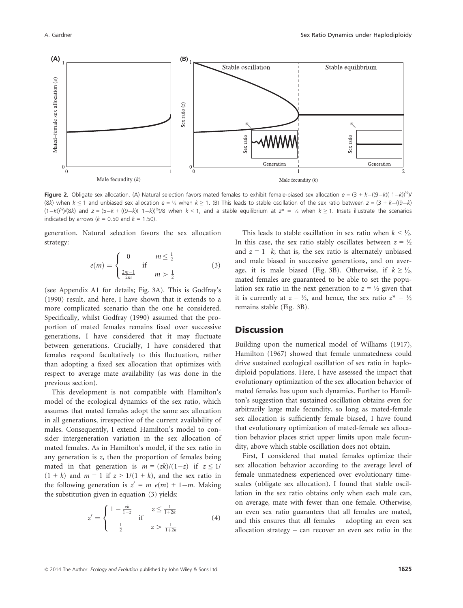

**Figure 2.** Obligate sex allocation. (A) Natural selection favors mated females to exhibit female-biased sex allocation  $e = (3 + k - ((9 - k)( 1 - k))^{1/2} )/k$ (8k) when  $k \le 1$  and unbiased sex allocation  $e = \frac{1}{2}$  when  $k \ge 1$ . (B) This leads to stable oscillation of the sex ratio between  $z = (3 + k - ((9 - k)x)$  $(1-k)^{k/2}$ /(8k) and  $z = (5-k + ((9-k)(1-k))^{k/2})/8$  when  $k < 1$ , and a stable equilibrium at  $z^* = \frac{1}{2}$  when  $k \ge 1$ . Insets illustrate the scenarios indicated by arrows ( $k = 0.50$  and  $k = 1.50$ ).

generation. Natural selection favors the sex allocation strategy:

$$
e(m) = \begin{cases} 0 & m \le \frac{1}{2} \\ \frac{2m-1}{2m} & m > \frac{1}{2} \end{cases}
$$
 (3)

(see Appendix A1 for details; Fig. 3A). This is Godfray's (1990) result, and here, I have shown that it extends to a more complicated scenario than the one he considered. Specifically, whilst Godfray (1990) assumed that the proportion of mated females remains fixed over successive generations, I have considered that it may fluctuate between generations. Crucially, I have considered that females respond facultatively to this fluctuation, rather than adopting a fixed sex allocation that optimizes with respect to average mate availability (as was done in the previous section).

This development is not compatible with Hamilton's model of the ecological dynamics of the sex ratio, which assumes that mated females adopt the same sex allocation in all generations, irrespective of the current availability of males. Consequently, I extend Hamilton's model to consider intergeneration variation in the sex allocation of mated females. As in Hamilton's model, if the sex ratio in any generation is z, then the proportion of females being mated in that generation is  $m = (zk)/(1-z)$  if  $z \le 1/$  $(1 + k)$  and  $m = 1$  if  $z > 1/(1 + k)$ , and the sex ratio in the following generation is  $z' = m e(m) + 1-m$ . Making the substitution given in equation (3) yields:

$$
z' = \begin{cases} 1 - \frac{zk}{1 - z} & z \le \frac{1}{1 + 2k} \\ \frac{1}{2} & z > \frac{1}{1 + 2k} \end{cases}
$$
(4)

This leads to stable oscillation in sex ratio when  $k \leq \frac{1}{2}$ . In this case, the sex ratio stably oscillates between  $z = \frac{1}{2}$ and  $z = 1 - k$ ; that is, the sex ratio is alternately unbiased and male biased in successive generations, and on average, it is male biased (Fig. 3B). Otherwise, if  $k \geq \frac{1}{2}$ , mated females are guaranteed to be able to set the population sex ratio in the next generation to  $z = \frac{1}{2}$  given that it is currently at  $z = \frac{1}{2}$ , and hence, the sex ratio  $z^* = \frac{1}{2}$ remains stable (Fig. 3B).

## **Discussion**

Building upon the numerical model of Williams (1917), Hamilton (1967) showed that female unmatedness could drive sustained ecological oscillation of sex ratio in haplodiploid populations. Here, I have assessed the impact that evolutionary optimization of the sex allocation behavior of mated females has upon such dynamics. Further to Hamilton's suggestion that sustained oscillation obtains even for arbitrarily large male fecundity, so long as mated-female sex allocation is sufficiently female biased, I have found that evolutionary optimization of mated-female sex allocation behavior places strict upper limits upon male fecundity, above which stable oscillation does not obtain.

First, I considered that mated females optimize their sex allocation behavior according to the average level of female unmatedness experienced over evolutionary timescales (obligate sex allocation). I found that stable oscillation in the sex ratio obtains only when each male can, on average, mate with fewer than one female. Otherwise, an even sex ratio guarantees that all females are mated, and this ensures that all females – adopting an even sex allocation strategy – can recover an even sex ratio in the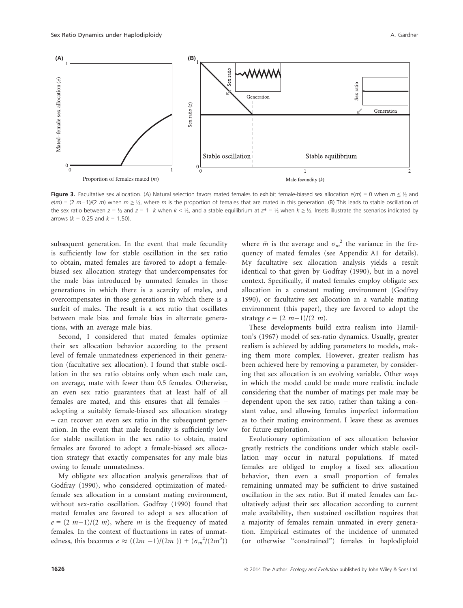

Figure 3. Facultative sex allocation. (A) Natural selection favors mated females to exhibit female-biased sex allocation  $e(m) = 0$  when  $m \leq 1/2$  and  $e(m) = (2 m-1)/(2 m)$  when  $m \ge 1/2$ , where m is the proportion of females that are mated in this generation. (B) This leads to stable oscillation of the sex ratio between  $z = \frac{1}{2}$  and  $z = 1 - k$  when  $k < \frac{1}{2}$ , and a stable equilibrium at  $z^* = \frac{1}{2}$  when  $k \geq \frac{1}{2}$ . Insets illustrate the scenarios indicated by arrows ( $k = 0.25$  and  $k = 1.50$ ).

subsequent generation. In the event that male fecundity is sufficiently low for stable oscillation in the sex ratio to obtain, mated females are favored to adopt a femalebiased sex allocation strategy that undercompensates for the male bias introduced by unmated females in those generations in which there is a scarcity of males, and overcompensates in those generations in which there is a surfeit of males. The result is a sex ratio that oscillates between male bias and female bias in alternate generations, with an average male bias.

Second, I considered that mated females optimize their sex allocation behavior according to the present level of female unmatedness experienced in their generation (facultative sex allocation). I found that stable oscillation in the sex ratio obtains only when each male can, on average, mate with fewer than 0.5 females. Otherwise, an even sex ratio guarantees that at least half of all females are mated, and this ensures that all females – adopting a suitably female-biased sex allocation strategy – can recover an even sex ratio in the subsequent generation. In the event that male fecundity is sufficiently low for stable oscillation in the sex ratio to obtain, mated females are favored to adopt a female-biased sex allocation strategy that exactly compensates for any male bias owing to female unmatedness.

My obligate sex allocation analysis generalizes that of Godfray (1990), who considered optimization of matedfemale sex allocation in a constant mating environment, without sex-ratio oscillation. Godfray (1990) found that mated females are favored to adopt a sex allocation of  $e = (2 m-1)/(2 m)$ , where m is the frequency of mated females. In the context of fluctuations in rates of unmatedness, this becomes  $e \approx ((2\bar{m} - 1)/(2\bar{m} )) + (\sigma_m^2/(2\bar{m}^3))$ 

where  $\bar{m}$  is the average and  $\sigma_m^2$  the variance in the fre-<br>quency of mated females (see Appendix A1 for details) quency of mated females (see Appendix A1 for details). My facultative sex allocation analysis yields a result identical to that given by Godfray (1990), but in a novel context. Specifically, if mated females employ obligate sex allocation in a constant mating environment (Godfray 1990), or facultative sex allocation in a variable mating environment (this paper), they are favored to adopt the strategy  $e = (2 m-1)/(2 m)$ .

These developments build extra realism into Hamilton's (1967) model of sex-ratio dynamics. Usually, greater realism is achieved by adding parameters to models, making them more complex. However, greater realism has been achieved here by removing a parameter, by considering that sex allocation is an evolving variable. Other ways in which the model could be made more realistic include considering that the number of matings per male may be dependent upon the sex ratio, rather than taking a constant value, and allowing females imperfect information as to their mating environment. I leave these as avenues for future exploration.

Evolutionary optimization of sex allocation behavior greatly restricts the conditions under which stable oscillation may occur in natural populations. If mated females are obliged to employ a fixed sex allocation behavior, then even a small proportion of females remaining unmated may be sufficient to drive sustained oscillation in the sex ratio. But if mated females can facultatively adjust their sex allocation according to current male availability, then sustained oscillation requires that a majority of females remain unmated in every generation. Empirical estimates of the incidence of unmated (or otherwise "constrained") females in haplodiploid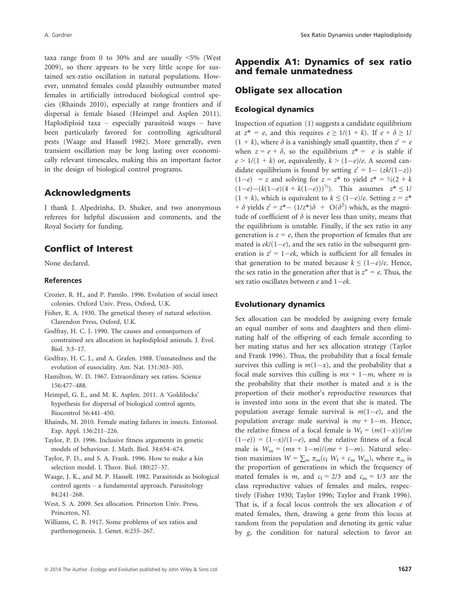taxa range from 0 to 30% and are usually <5% (West 2009), so there appears to be very little scope for sustained sex-ratio oscillation in natural populations. However, unmated females could plausibly outnumber mated females in artificially introduced biological control species (Rhainds 2010), especially at range frontiers and if dispersal is female biased (Heimpel and Asplen 2011). Haplodiploid taxa – especially parasitoid wasps – have been particularly favored for controlling agricultural pests (Waage and Hassell 1982). More generally, even transient oscillation may be long lasting over economically relevant timescales, making this an important factor in the design of biological control programs.

## Acknowledgments

I thank J. Alpedrinha, D. Shuker, and two anonymous referees for helpful discussion and comments, and the Royal Society for funding.

## Conflict of Interest

None declared.

#### References

- Crozier, R. H., and P. Pamilo. 1996. Evolution of social insect colonies. Oxford Univ. Press, Oxford, U.K.
- Fisher, R. A. 1930. The genetical theory of natural selection. Clarendon Press, Oxford, U.K.
- Godfray, H. C. J. 1990. The causes and consequences of constrained sex allocation in haplodiploid animals. J. Evol. Biol. 3:3–17.
- Godfray, H. C. J., and A. Grafen. 1988. Unmatedness and the evolution of eusociality. Am. Nat. 131:303–305.
- Hamilton, W. D. 1967. Extraordinary sex ratios. Science 156:477–488.
- Heimpel, G. E., and M. K. Asplen. 2011. A 'Goldilocks' hypothesis for dispersal of biological control agents. Biocontrol 56:441–450.
- Rhainds, M. 2010. Female mating failures in insects. Entomol. Exp. Appl. 136:211–226.
- Taylor, P. D. 1996. Inclusive fitness arguments in genetic models of behaviour. J. Math. Biol. 34:654–674.
- Taylor, P. D., and S. A. Frank. 1996. How to make a kin selection model. J. Theor. Biol. 180:27–37.
- Waage, J. K., and M. P. Hassell. 1982. Parasitoids as biological control agents – a fundamental approach. Parasitology 84:241–268.
- West, S. A. 2009. Sex allocation. Princeton Univ. Press, Princeton, NJ.
- Williams, C. B. 1917. Some problems of sex ratios and parthenogenesis. J. Genet. 6:255–267.

## Appendix A1: Dynamics of sex ratio and female unmatedness

## Obligate sex allocation

#### Ecological dynamics

Inspection of equation (1) suggests a candidate equilibrium at  $z^* = e$ , and this requires  $e \ge 1/(1 + k)$ . If  $e + \delta \ge 1/$  $(1 + k)$ , where  $\delta$  is a vanishingly small quantity, then  $z' = e$ when  $z = e + \delta$ , so the equilibrium  $z^* = e$  is stable if  $e > 1/(1 + k)$  or, equivalently,  $k > (1-e)/e$ . A second candidate equilibrium is found by setting  $z' = 1 - (zk/(1-z))$  $(1-e)$  = z and solving for  $z = z^*$  to yield  $z^* = \frac{1}{2}(2 + k)$  $(1-e) - (k(1-e)(4 + k(1-e)))^{1/2}$ . This assumes  $z^* \leq 1/2$  $(1 + k)$ , which is equivalent to  $k \leq (1-e)/e$ . Setting  $z = z^*$ +  $\delta$  yields  $z' = z^* - (1/z^*)\delta + O(\delta^2)$  which, as the magnitude of coefficient of  $\delta$  is never less than unity means that tude of coefficient of  $\delta$  is never less than unity, means that the equilibrium is unstable. Finally, if the sex ratio in any generation is  $z = e$ , then the proportion of females that are mated is  $ek/(1-e)$ , and the sex ratio in the subsequent generation is  $z' = 1 - ek$ , which is sufficient for all females in that generation to be mated because  $k \leq (1-e)/e$ . Hence, the sex ratio in the generation after that is  $z'' = e$ . Thus, the sex ratio oscillates between e and  $1$  – ek.

### Evolutionary dynamics

Sex allocation can be modeled by assigning every female an equal number of sons and daughters and then eliminating half of the offspring of each female according to her mating status and her sex allocation strategy (Taylor and Frank 1996). Thus, the probability that a focal female survives this culling is  $m(1-x)$ , and the probability that a focal male survives this culling is  $mx + 1-m$ , where m is the probability that their mother is mated and  $x$  is the proportion of their mother's reproductive resources that is invested into sons in the event that she is mated. The population average female survival is  $m(1-e)$ , and the population average male survival is  $me + 1-m$ . Hence, the relative fitness of a focal female is  $W_f = (m(1-x))/(m)$  $(1-e)$  =  $(1-x)/(1-e)$ , and the relative fitness of a focal male is  $W_m = (mx + 1-m)/(me + 1-m)$ . Natural selection maximizes  $W = \sum_m \pi_m(c_f W_f + c_m W_m)$ , where  $\pi_m$  is the proportion of generations in which the frequency of mated females is *m*, and  $c_f = 2/3$  and  $c_m = 1/3$  are the class reproductive values of females and males, respectively (Fisher 1930; Taylor 1996; Taylor and Frank 1996). That is, if a focal locus controls the sex allocation e of mated females, then, drawing a gene from this locus at random from the population and denoting its genic value by g, the condition for natural selection to favor an